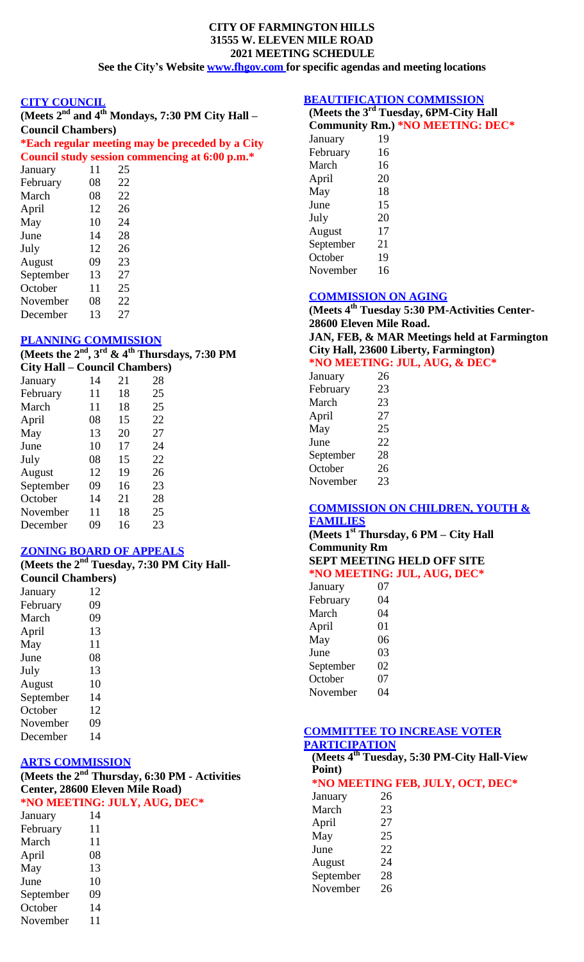#### **CITY OF FARMINGTON HILLS 31555 W. ELEVEN MILE ROAD 2021 MEETING SCHEDULE See the City's Website [www.fhgov.com](http://www.fhgov.com/) for specific agendas and meeting locations**

#### **CITY COUNCIL**

| (Meets $2nd$ and $4th$ Mondays, 7:30 PM City Hall – |  |
|-----------------------------------------------------|--|
| <b>Council Chambers</b> )                           |  |
| *Each regular meeting may be preceded by a City     |  |

# **Council study session commencing at 6:00 p.m.\***

| January   | 11 | 25 |  |
|-----------|----|----|--|
| February  | 08 | 22 |  |
| March     | 08 | 22 |  |
| April     | 12 | 26 |  |
| May       | 10 | 24 |  |
| June      | 14 | 28 |  |
| July      | 12 | 26 |  |
| August    | 09 | 23 |  |
| September | 13 | 27 |  |
| October   | 11 | 25 |  |
| November  | 08 | 22 |  |
| December  | 13 | 27 |  |

## **PLANNING COMMISSION**

**(Meets the 2nd , 3 rd & 4 th Thursdays, 7:30 PM**

| <b>City Hall – Council Chambers)</b> |    |    |    |
|--------------------------------------|----|----|----|
| January                              | 14 | 21 | 28 |
| February                             | 11 | 18 | 25 |
| March                                | 11 | 18 | 25 |
| April                                | 08 | 15 | 22 |
| May                                  | 13 | 20 | 27 |
| June                                 | 10 | 17 | 24 |
| July                                 | 08 | 15 | 22 |
| August                               | 12 | 19 | 26 |
| September                            | 09 | 16 | 23 |
| October                              | 14 | 21 | 28 |
| November                             | 11 | 18 | 25 |
| December                             | 09 | 16 | 23 |

#### **ZONING BOARD OF APPEALS**

|                          | (Meets the $2nd$ Tuesday, 7:30 PM City Hall- |
|--------------------------|----------------------------------------------|
| <b>Council Chambers)</b> |                                              |
| January                  | 12                                           |
| February                 | 09                                           |
| March                    | 09                                           |
| April                    | 13                                           |
| May                      | 11                                           |
| June                     | 08                                           |
| July                     | 13                                           |
| August                   | 10                                           |
| September                | 14                                           |
| October                  | 12                                           |
| November                 | 09                                           |
| December                 | 14                                           |

## **ARTS COMMISSION**

**(Meets the 2nd Thursday, 6:30 PM - Activities Center, 28600 Eleven Mile Road) \*NO MEETING: JULY, AUG, DEC\***

| January   | 14 |
|-----------|----|
| February  | 11 |
| March     | 11 |
| April     | 08 |
| May       | 13 |
| June      | 10 |
| September | 09 |
| October   | 14 |
| November  | 11 |
|           |    |

## **BEAUTIFICATION COMMISSION**

|           | (Meets the 3 <sup>rd</sup> Tuesday, 6PM-City Hall |
|-----------|---------------------------------------------------|
|           | <b>Community Rm.) *NO MEETING: DEC*</b>           |
| January   | 19                                                |
| February  | 16                                                |
| March     | 16                                                |
| April     | 20                                                |
| May       | 18                                                |
| June      | 15                                                |
| July      | 20                                                |
| August    | 17                                                |
| September | 21                                                |
| October   | 19                                                |
| November  | 16                                                |

# **COMMISSION ON AGING**

**(Meets 4 th Tuesday 5:30 PM-Activities Center-28600 Eleven Mile Road. JAN, FEB, & MAR Meetings held at Farmington City Hall, 23600 Liberty, Farmington) \*NO MEETING: JUL, AUG, & DEC\***

| January   | 26 |
|-----------|----|
| February  | 23 |
| March     | 23 |
| April     | 27 |
| May       | 25 |
| June      | 22 |
| September | 28 |
| October   | 26 |
| November  | 23 |

#### **COMMISSION ON CHILDREN, YOUTH & FAMILIES**

**(Meets 1 st Thursday, 6 PM – City Hall Community Rm**

# **SEPT MEETING HELD OFF SITE**

|         |    | *NO MEETING: JUL, AUG, DEC* |
|---------|----|-----------------------------|
| Ianuary | 07 |                             |

| January   | U 1 |
|-----------|-----|
| February  | 04  |
| March     | 04  |
| April     | 01  |
| May       | 06  |
| June      | 03  |
| September | 02  |
| October   | 07  |
| November  | 04  |
|           |     |

#### **COMMITTEE TO INCREASE VOTER PARTICIPATION**

**(Meets 4 th Tuesday, 5:30 PM-City Hall-View Point)**

# **\*NO MEETING FEB, JULY, OCT, DEC\***

January 26 March 23 April 27 May 25 June 22 August 24 September 28 November 26